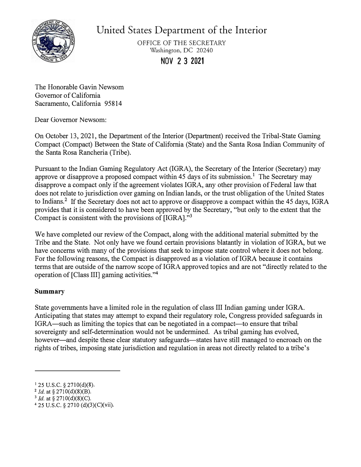

United States Department of the Interior

OFFICE OF THE SECRETARY Washington, DC 20240

**NOV 2 3 2021** 

The Honorable Gavin Newsom Governor of California Sacramento, California 95814

Dear Governor Newsom:

On October 13, 2021, the Department of the Interior (Department) received the Tribal-State Gaming Compact (Compact) Between the State of California (State) and the Santa Rosa Indian Community of the Santa Rosa Rancheria (Tribe).

Pursuant to the Indian Gaming Regulatory Act (IGRA), the Secretary of the Interior (Secretary) may approve or disapprove a proposed compact within 45 days of its submission.<sup>1</sup> The Secretary may disapprove a compact only if the agreement violates IGRA, any other provision of Federal law that does not relate to jurisdiction over gaming on Indian lands, or the trust obligation of the United States to Indians.**2** If the Secretary does not act to approve or disapprove a compact within the 45 days, IGRA provides that it is considered to have been approved by the Secretary, "but only to the extent that the Compact is consistent with the provisions of [IGRA]."**<sup>3</sup>**

We have completed our review of the Compact, along with the additional material submitted by the Tribe and the State. Not only have we found certain provisions blatantly in violation of IGRA, but we have concerns with many of the provisions that seek to impose state control where it does not belong. For the following reasons, the Compact is disapproved as a violation of IGRA because it contains terms that are outside of the narrow scope ofIGRA approved topics and are not "directly related to the operation of [Class III] gaming activities."**<sup>4</sup>**

# **Summary**

State governments have a limited role in the regulation of class III Indian gaming under IGRA. Anticipating that states may attempt to expand their regulatory role, Congress provided safeguards in IGRA—such as limiting the topics that can be negotiated in a compact—to ensure that tribal sovereignty and self-determination would not be undermined. As tribal gaming has evolved, however—and despite these clear statutory safeguards—states have still managed to encroach on the rights of tribes, imposing state jurisdiction and regulation in areas not directly related to a tribe's

 $125$  U.S.C. § 2710(d)(8).

<sup>2</sup>*Jd.* at§ 2710(d)(8)(B).

<sup>3</sup>*Id.* at§ 2710(d)(8)(C).

<sup>4</sup> 25 U.S.C. § 2710 (d)(3)(C)(vii).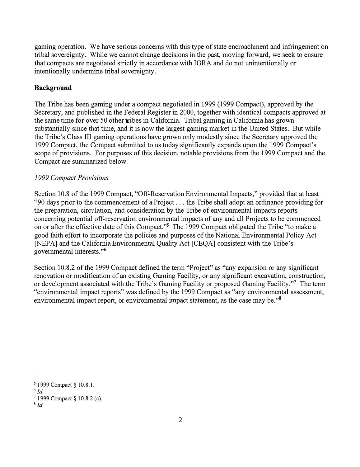gaming operation. We have serious concerns with this type of state encroachment and infringement on tribal sovereignty. While we cannot change decisions in the past, moving forward, we seek to ensure that compacts are negotiated strictly in accordance with IGRA and do not unintentionally or intentionally undermine tribal sovereignty.

## **Background**

The Tribe has been gaming under a compact negotiated in 1999 (1999 Compact), approved by the Secretary, and published in the Federal Register in 2000, together with identical compacts approved at the same time for over 50 other tribes in California. Tribal gaming in California has grown substantially since that time, and it is now the largest gaming market in the United States. But while the Tribe's Class III gaming operations have grown only modestly since the Secretary approved the 1999 Compact, the Compact submitted to us today significantly expands upon the 1999 Compact's scope of provisions. For purposes of this decision, notable provisions from the 1999 Compact and the Compact are summarized below.

## *1999 Compact Provisions*

Section 10.8 of the 1999 Compact, "Off-Reservation Environmental Impacts," provided that at least "90 days prior to the commencement of a Project ... the Tribe shall adopt an ordinance providing for the preparation, circulation, and consideration by the Tribe of environmental impacts reports concerning potential off-reservation environmental impacts of any and all Projects to be commenced on or after the effective date of this Compact."<sup>5</sup> The 1999 Compact obligated the Tribe "to make a good faith effort to incorporate the policies and purposes of the National Environmental Policy Act [NEPA] and the California Environmental Quality Act [CEQA] consistent with the Tribe's governmental interests."**<sup>6</sup>**

Section 10.8.2 of the 1999 Compact defined the term "Project" as "any expansion or any significant renovation or modification of an existing Gaming Facility, or any significant excavation, construction, or development associated with the Tribe's Gaming Facility or proposed Gaming Facility."<sup>7</sup> The term "environmental impact reports" was defined by the 1999 Compact as "any environmental assessment, environmental impact report, or environmental impact statement, as the case may be."**<sup>8</sup>**

s *Id.*

*<sup>5</sup>*1999 Compact§ 10.8.1.

**<sup>6</sup>***Id.* 

**<sup>7</sup>**1999 Compact§ 10.8.2 (c).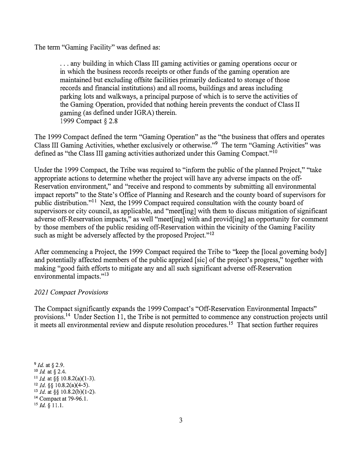The term "Gaming Facility" was defined a�:

... any building in which Class III gaming activities or gaming operations occur or in which the business records receipts or other funds of the gaming operation are maintained but excluding offsite facilities primarily dedicated to storage of those records and financial institutions) and all rooms, buildings and areas including parking lots and walkways, a principal purpose of which is to serve the activities of the Gaming Operation, provided that nothing herein prevents the conduct of Class II gaming (as defined under IGRA) therein. 1999 Compact § 2.8

The 1999 Compact defined the term "Gaming Operation" as the "the business that offers and operates Class III Gaming Activities, whether exclusively or otherwise."<sup>9</sup> The term "Gaming Activities" was defined as "the Class III gaming activities authorized under this Gaming Compact."<sup>10</sup>

Under the 1999 Compact, the Tribe was required to "inform the public of the planned Project," "take appropriate actions to determine whether the project will have any adverse impacts on the off-Reservation environment," and "receive and respond to comments by submitting all environmental impact reports" to the State's Office of Planning and Research and the county board of supervisors for public distribution."11 Next, the 1999 Compact required consultation with the county board of supervisors or city council, as applicable, and "meet[ing] with them to discuss mitigation of significant adverse off-Reservation impacts," as well "meet [ing] with and provid[ing] an opportunity for comment by those members of the public residing off-Reservation within the vicinity of the Gaming Facility such as might be adversely affected by the proposed Project."<sup>12</sup>

After commencing a Project, the 1999 Compact required the Tribe to "keep the [local governing body] and potentially affected members of the public apprized [sic] of the project's progress," together with making "good faith efforts to mitigate any and all such significant adverse off-Reservation environmental impacts."<sup>13</sup>

## *2021 Compact Provisions*

The Compact significantly expands the 1999 Compact's "Off-Reservation Environmental Impacts" [provisions.](https://provisions.14)14 Under Section 11, the Tribe is not permitted to commence any construction projects until it meets all environmental review and dispute resolution procedures.<sup>15</sup> That section further requires

**<sup>9</sup>***Id.* at§ 2.9. <sup>10</sup>*Id* at § 2.4. <sup>11</sup> *Id.* at §§ 10.8.2(a)(1-3). 12 *Id.* §§ 10.8.2(a)(4-5). <sup>13</sup>*Id.* at§§ 10.8.2(b)(l-2). <sup>14</sup> Compact at 79-96.1.  $^{15}$  *Id.* § 11.1.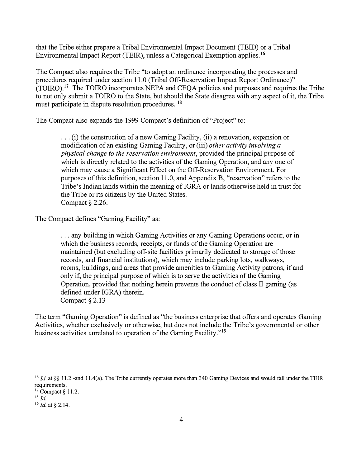that the Tribe either prepare a Tribal Environmental Impact Document (TEID) or a Tribal Environmental Impact Report (TEIR), unless a Categorical Exemption [applies.](https://applies.16)<sup>16</sup>

The Compact also requires the Tribe "to adopt an ordinance incorporating the processes and procedures required under section 11. 0 (Tribal Off-Reservation Impact Report Ordinance)" [\(TOIRO\).](https://TOIRO).17)17 The TOIRO incorporates NEPA and CEQA policies and purposes and requires the Tribe to not only submit a TOIRO to the State, but should the State disagree with any aspect of it, the Tribe must participate in dispute resolution procedures. <sup>18</sup>

The Compact also expands the 1999 Compact's definition of "Project" to:

... (i) the construction of a new Gaming Facility, (ii) a renovation, expansion or modification of an existing Gaming Facility, or (iii) *other activity involving a physical change to the reservation environment,* provided the principal purpose of which is directly related to the activities of the Gaming Operation, and any one of which may cause a Significant Effect on the Off-Reservation Environment. For purposes of this definition, section 11.0, and Appendix B, "reservation" refers to the Tribe's Indian lands within the meaning of IGRA or lands otherwise held in trust for the Tribe or its citizens by the United States. Compact§ 2.26.

The Compact defines "Gaming Facility" as:

... any building in which Gaming Activities or any Gaming Operations occur, or in which the business records, receipts, or funds of the Gaming Operation are maintained (but excluding off-site facilities primarily dedicated to storage of those records, and financial institutions), which may include parking lots, walkways, rooms, buildings, and areas that provide amenities to Gaming Activity patrons, if and only if, the principal purpose of which is to serve the activities of the Gaming Operation, provided that nothing herein prevents the conduct of class II gaming ( as defined under IGRA) therein. Compact § 2.13

The term "Gaming Operation" is defined as "the business enterprise that offers and operates Gaming Activities, whether exclusively or otherwise, but does not include the Tribe's governmental or other business activities unrelated to operation of the Gaming Facility."<sup>19</sup>

<sup>&</sup>lt;sup>16</sup> *Id.* at §§ 11.2 -and 11.4(a). The Tribe currently operates more than 340 Gaming Devices and would fall under the TEIR requirements.

 $17$  Compact § 11.2.

 $18$  *Id.* 

<sup>19</sup>*Id.* at§ 2.14.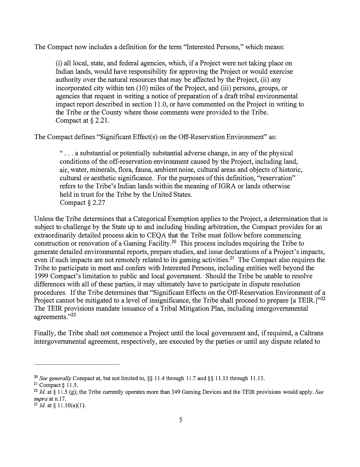The Compact now includes a definition for the term "Interested Persons," which means:

(i) all local, state, and federal agencies, which, if a Project were not taking place on Indian lands, would have responsibility for approving the Project or would exercise authority over the natural resources that may be affected by the Project, (ii) any incorporated city within ten (10) miles of the Project, and (iii) persons, groups, or agencies that request in writing a notice of preparation of a draft tribal environmental impact report described in section 11.0, or have commented on the Project in writing to the Tribe or the County where those comments were provided to the Tribe. Compact at § 2.21.

The Compact defines "Significant Effect(s) on the Off-Reservation Environment" as:

" ... a substantial or potentially substantial adverse change, in any of the physical conditions of the off-reservation environment caused by the Project, including land, air, water, minerals, flora, fauna, ambient noise, cultural areas and objects of historic, cultural or aesthetic significance. For the purposes of this definition, "reservation" refers to the Tribe's Indian lands within the meaning of IGRA or lands otherwise held in trust for the Tribe by the United States. Compact § 2.27

Unless the Tribe determines that a Categorical Exemption applies to the Project, a determination that is subject to challenge by the State up to and including binding arbitration, the Compact provides for an extraordinarily detailed process akin to CEQA that the Tribe must follow before commencing construction or renovation of a Gaming [Facility.](https://Facility.20)20 This process includes requiring the Tribe to generate detailed environmental reports, prepare studies, and issue declarations of a Project's impacts, even if such impacts are not remotely related to its gaming [activities.](https://activities.21)<sup>21</sup> The Compact also requires the Tribe to participate in meet and confers with Interested Persons, including entities well beyond the 1999 Compact's limitation to public and local government. Should the Tribe be unable to resolve differences with all of these parties, it may ultimately have to participate in dispute resolution procedures. If the Tribe determines that "Significant Effects on the Off-Reservation Environment of a Project cannot be mitigated to a level of insignificance, the Tribe shall proceed to prepare [a TEIR.]"<sup>22</sup> The TEIR provisions mandate issuance of a Tribal Mitigation Plan, including intergovernmental agreements."23

Finally, the Tribe shall not commence a Project until the local government and, if required, a Caltrans intergovernmental agreement, respectively, are executed by the parties or until any dispute related to

**<sup>20</sup>***See generally* Compact at, but not limited to,§§ 11.4 through 11.7 and§§ 11.11 through 11.13.

<sup>&</sup>lt;sup>21</sup> Compact  $§$  11.5.

<sup>22</sup>*Id.* at§ 11.5 (g); the Tribe currently operates more than 349 Gaming Devices and the TEIR provisions would apply. *See supra* at n.17.

 $^{23}$  Id. at § 11.10(a)(1).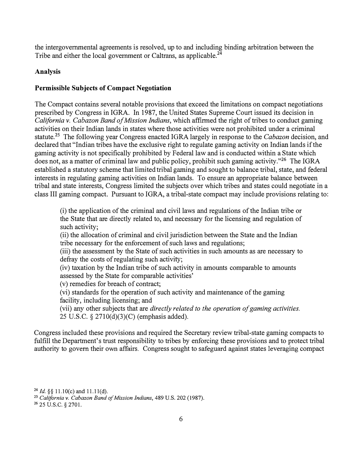the intergovernmental agreements is resolved, up to and including binding arbitration between the Tribe and either the local government or Caltrans, as [applicable.](https://applicable.24) $2^{\overline{4}}$ 

### **Analysis**

### **Permissible Subjects of Compact Negotiation**

The Compact contains several notable provisions that exceed the limitations on compact negotiations prescribed by Congress in IGRA. In 1987, the United States Supreme Court issued its decision in *California v. Cabazon Band of Mission Indians,* which affirmed the right of tribes to conduct gaming activities on their Indian lands in states where those activities were not prohibited under a criminal [statute.](https://statute.25)<sup>25</sup> The following year Congress enacted IGRA largely in response to the *Cabazon* decision, and declared that "Indian tribes have the exclusive right to regulate gaming activity on Indian lands if the gaming activity is not specifically prohibited by Federal law and is conducted within a State which does not, as a matter of criminal law and public policy, prohibit such gaming activity."<sup>26</sup> The IGRA established a statutory scheme that limited tribal gaming and sought to balance tribal, state, and federal interests in regulating gaming activities on Indian lands. To ensure an appropriate balance between tribal and state interests, Congress limited the subjects over which tribes and states could negotiate in a class III gaming compact. Pursuant to IGRA, a tribal-state compact may include provisions relating to:

(i) the application of the criminal and civil laws and regulations of the Indian tribe or the State that are directly related to, and necessary for the licensing and regulation of such activity;

(ii) the allocation of criminal and civil jurisdiction between the State and the Indian tribe necessary for the enforcement of such laws and regulations;

(iii) the assessment by the State of such activities in such amounts as are necessary to defray the costs of regulating such activity;

(iv) taxation by the Indian tribe of such activity in amounts comparable to amounts assessed by the State for comparable activities'

(v) remedies for breach of contract;

(vi) standards for the operation of such activity and maintenance of the gaming facility, including licensing; and

(vii) any other subjects that are *directly related to the operation of gaming activities.* 25 U.S.C. § 2710(d)(3)(C) (emphasis added).

Congress included these provisions and required the Secretary review tribal-state gaming compacts to fulfill the Department's trust responsibility to tribes by enforcing these provisions and to protect tribal authority to govern their own affairs. Congress sought to safeguard against states leveraging compact

<sup>24</sup>*Id.§§* 11.l0(c) and 11.ll(d).

**<sup>25</sup>***California v. Cabazon Band of Mission Indians,* 489 U.S. 202 (1987).

**<sup>26</sup>**25 u.s.c. § 2701.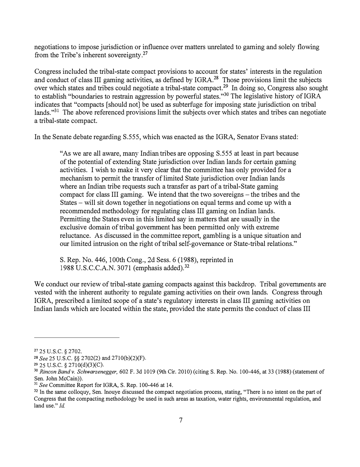negotiations to impose jurisdiction or influence over matters unrelated to gaming and solely flowing from the Tribe's inherent [sovereignty.](https://sovereignty.27)<sup>27</sup>

Congress included the tribal-state compact provisions to account for states' interests in the regulation and conduct of class III gaming activities, as defined by IGRA.<sup>28</sup> Those provisions limit the subjects over which states and tribes could negotiate a tribal-state [compact.](https://compact.29)29 In doing so, Congress also sought to establish "boundaries to restrain aggression by powerful states."<sup>30</sup> The legislative history of IGRA indicates that "compacts [should not] be used as subterfuge for imposing state jurisdiction on tribal lands."<sup>31</sup> The above referenced provisions limit the subjects over which states and tribes can negotiate a tribal-state compact.

In the Senate debate regarding S.555, which was enacted as the IGRA, Senator Evans stated:

"As we are all aware, many Indian tribes are opposing S.555 at least in part because of the potential of extending State jurisdiction over Indian lands for certain gaming activities. I wish to make it very clear that the committee has only provided for a mechanism to permit the transfer of limited State jurisdiction over Indian lands where an Indian tribe requests such a transfer as part of a tribal-State gaming compact for class III gaming. We intend that the two sovereigns – the tribes and the States – will sit down together in negotiations on equal terms and come up with a recommended methodology for regulating class III gaming on Indian lands. Permitting the States even in this limited say in matters that are usually in the exclusive domain of tribal government has been permitted only with extreme reluctance. As discussed in the committee report, gambling is a unique situation and our limited intrusion on the right of tribal self-governance or State-tribal relations."

S. Rep. No. 446, 100th Cong., 2d Sess. 6 (1988), reprinted in 1988 U.S.C.C.A.N. 3071 (emphasis [added\).](https://added).32) <sup>32</sup>

We conduct our review of tribal-state gaming compacts against this backdrop. Tribal governments are vested with the inherent authority to regulate gaming activities on their own lands. Congress through IGRA, prescribed a limited scope of a state's regulatory interests in class III gaming activities on Indian lands which are located within the state, provided the state permits the conduct of class III

<sup>27</sup>25 U.S.C. § 2702.

<sup>28</sup> *See* 25 U.S.C. §§ 2702(2) and 2710(b)(2)(F).

<sup>&</sup>lt;sup>30</sup> Rincon Band v. Schwarzenegger, 602 F. 3d 1019 (9th Cir. 2010) (citing S. Rep. No. 100-446, at 33 (1988) (statement of Sen. John McCain)).

<sup>&</sup>lt;sup>31</sup> See Committee Report for IGRA, S. Rep. 100-446 at 14.

**<sup>32</sup>**In the same colloquy, Sen. Inouye discussed the compact negotiation process, stating, "There is no intent on the part of Congress that the compacting methodology be used in such areas as taxation, water rights, environmental regulation, and land use." *Id*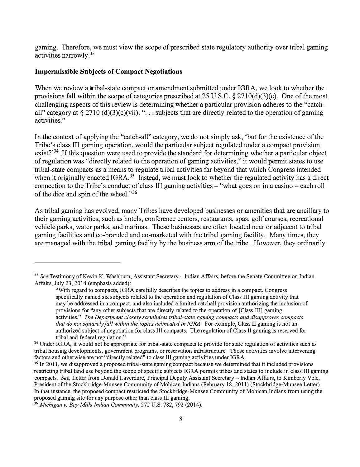gaming. Therefore, we must view the scope of prescribed state regulatory authority over tribal gaming activities [narrowly.](https://narrowly.33) <sup>33</sup>

## **Impermissible Subjects of Compact Negotiations**

When we review a **tribal-state compact or amendment submitted under IGRA**, we look to whether the provisions fall within the scope of categories prescribed at 25 U.S.C. § 2710(d)(3)(c). One of the most challenging aspects of this review is determining whether a particular provision adheres to the "catchall" category at  $\S 2710$  (d)(3)(c)(vii): "... subjects that are directly related to the operation of gaming activities."

In the context of applying the "catch-all" category, we do not simply ask, 'but for the existence of the Tribe's class III gaming operation, would the particular subject regulated under a compact provision exist? $3<sup>34</sup>$  If this question were used to provide the standard for determining whether a particular object of regulation was "directly related to the operation of gaming activities," it would permit states to use tribal-state compacts as a means to regulate tribal activities far beyond that which Congress intended when it originally enacted IGRA.<sup>35</sup> Instead, we must look to whether the regulated activity has a direct connection to the Tribe's conduct of class III gaming activities – "what goes on in a casino – each roll of the dice and spin of the wheel."<sup>36</sup>

As tribal gaming has evolved, many Tribes have developed businesses or amenities that are ancillary to their gaming activities, such as hotels, conference centers, restaurants, spas, golf courses, recreational vehicle parks, water parks, and marinas. These businesses are often located near or adjacent to tribal gaming facilities and co-branded and co-marketed with the tribal gaming facility. Many times, they are managed with the tribal gaming facility by the business arm of the tribe. However, they ordinarily

<sup>33</sup>*See* Testimony of Kevin K. Washburn, Assistant Secretary - Indian Affairs, before the Senate Committee on Indian Affairs, July 23, 2014 (emphasis added):

<sup>&</sup>quot;With regard to compacts, IGRA carefully describes the topics to address in a compact. Congress specifically named six subjects related to the operation and regulation of Class III gaming activity that may be addressed in a compact, and also included a limited catchall provision authorizing the inclusion of provisions for "any other subjects that are directly related to the operation of [Class ill] gaming activities." *The Department closely scrutinizes tribal-state gaming compacts and disapproves compacts that do not squarely fall within the topics delineated in IGRA.* For example, Class II gaming is not an authorized subject of negotiation for class III compacts. The regulation of Class II gaming is reserved for tribal and federal regulation."

<sup>&</sup>lt;sup>34</sup> Under IGRA, it would not be appropriate for tribal-state compacts to provide for state regulation of activities such as tribal housing developments, government programs, or reservation infrastructure Those activities involve intervening factors and otherwise are not "directly related" to class III gaming activities under IGRA.

<sup>&</sup>lt;sup>35</sup> In 2011, we disapproved a proposed tribal-state gaming compact because we determined that it included provisions restricting tribal land use beyond the scope of specific subjects IGRA permits tribes and states to include in class III gaming compacts. *See,* Letter from Donald Laverdure, Principal Deputy Assistant Secretary- Indian Affairs, to Kimberly Vele, President of the Stockbridge-Munsee Community of Mohican Indians (February 18, 2011) (Stockbridge-Munsee Letter). In that instance, the proposed compact restricted the Stockbridge-Munsee Community of Mohican Indians from using the proposed gaming site for any purpose other than class ill gaming.

<sup>36</sup>*Michigan v. Bay Mills Indian Community,* 572 U.S. 782, 792 (2014).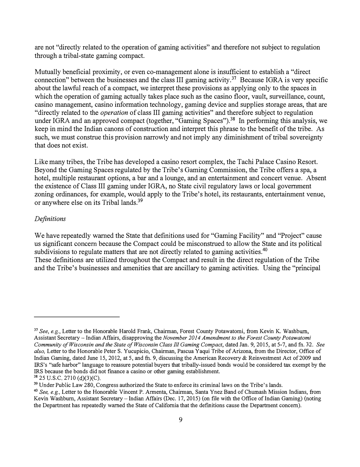are not "directly related to the operation of gaming activities" and therefore not subject to regulation through a tribal-state gaming compact.

Mutually beneficial proximity, or even co-management alone is insufficient to establish a "direct connection" between the businesses and the class III gaming [activity.](https://activity.37)<sup>37</sup> Because IGRA is very specific about the lawful reach of a compact, we interpret these provisions as applying only to the spaces in which the operation of gaming actually takes place such as the casino floor, vault, surveillance, count, casino management, casino information technology, gaming device and supplies storage areas, that are "directly related to the *operation* of class III gaming activities" and therefore subject to regulation under IGRA and an approved compact (together, "Gaming [Spaces"\).](https://Spaces").38)<sup>38</sup> In performing this analysis, we keep in mind the Indian canons of construction and interpret this phrase to the benefit of the tribe. As such, we must construe this provision narrowly and not imply any diminishment of tribal sovereignty that does not exist.

Like many tribes, the Tribe has developed a casino resort complex, the Tachi Palace Casino Resort. Beyond the Gaming Spaces regulated by the Tribe's Gaming Commission, the Tribe offers a spa, a hotel, multiple restaurant options, a bar and a lounge, and an entertainment and concert venue. Absent the existence of Class III gaming under IGRA, no State civil regulatory laws or local government zoning ordinances, for example, would apply to the Tribe's hotel, its restaurants, entertainment venue, or anywhere else on its Tribal [lands.](https://lands.39)<sup>39</sup>

#### *Definitions*

We have repeatedly warned the State that definitions used for "Gaming Facility" and "Project" cause us significant concern because the Compact could be misconstrued to allow the State and its political subdivisions to regulate matters that are not directly related to gaming [activities.](https://activities.40)<sup>40</sup> These definitions are utilized throughout the Compact and result in the direct regulation of the Tribe

and the Tribe's businesses and amenities that are ancillary to gaming activities. Using the "principal

<sup>37</sup>*See, e.g.,* Letter to the Honorable Harold Frank, Chairman, Forest County Potawatomi, from Kevin K. Washburn, Assistant Secretary - Indian Affairs, disapproving the *November 2014 Amendment to the Forest County Potawatomi Community of Wisconsin and the State of Wisconsin Class Ill Gaming Compact,* dated Jan. 9, 2015, at 5-7, and fn. 32. *See also,* Letter to the Honorable Peter S. Yucupicio, Chairman, Pascua Yaqui Tribe of Arizona, from the Director, Office of Indian Gaming, dated June 15, 2012, at 5, and fn. *9,* discussing the American Recovery & Reinvestment Act of2009 and IR.S's "safe harbor" language to reassure potential buyers that tribally-issued bonds would be considered tax exempt by the IRS because the bonds did not finance a casino or other gaming establishment.

 $38$  25 U.S.C. 2710 (d)(3)(C).

<sup>&</sup>lt;sup>39</sup> Under Public Law 280, Congress authorized the State to enforce its criminal laws on the Tribe's lands.

<sup>40</sup>*See, e.g.,* Letter to the Honorable Vincent P. Armenta, Chairman, Santa Ynez Band of Chumash Mission Indians, from Kevin Washburn, Assistant Secretary-Indian Affairs (Dec. 17, 2015) (on file with the Office of Indian Gaming) (noting the Department has repeatedly warned the State of California that the definitions cause the Department concern).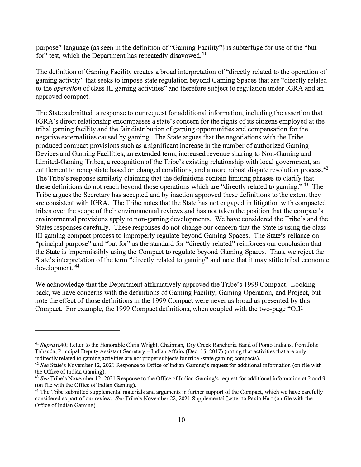purpose" language (as seen in the definition of "Gaming Facility") is subterfuge for use of the "but for" test, which the Department has repeatedly [disavowed.](https://disavowed.41)<sup>41</sup>

The definition of Gaming Facility creates a broad interpretation of "directly related to the operation of gaming activity" that seeks to impose state regulation beyond Gaming Spaces that are "directly related to the *operation* of class Ill gaming activities" and therefore subject to regulation under IGRA and an approved compact.

The State submitted a response to our request for additional information, including the assertion that IGRA's direct relationship encompasses a state's concern for the rights of its citizens employed at the tribal gaming facility and the fair distribution of gaming opportunities and compensation for the negative externalities caused by gaming. The State argues that the negotiations with the Tribe produced compact provisions such as a significant increase in the number of authorized Gaming Devices and Gaming Facilities, an extended term, increased revenue sharing to Non-Gaming and Limited-Gaming Tribes, a recognition of the Tribe's existing relationship with local government, an entitlement to renegotiate based on changed conditions, and a more robust dispute resolution [process.](https://process.42)<sup>42</sup> The Tribe's response similarly claiming that the definitions contain limiting phrases to clarify that these definitions do not reach beyond those operations which are "directly related to gaming."<sup>43</sup> The Tribe argues the Secretary has accepted and by inaction approved these definitions to the extent they are consistent with IGRA. The Tribe notes that the State has not engaged in litigation with compacted tribes over the scope of their environmental reviews and has not taken the position that the compact's environmental provisions apply to non-gaming developments. We have considered the Tribe's and the States responses carefully. These responses do not change our concern that the State is using the class III gaming compact process to improperly regulate beyond Gaming Spaces. The State's reliance on "principal purpose" and "but for" as the standard for "directly related" reinforces our conclusion that the State is imperrnissibly using the Compact to regulate beyond Gaming Spaces. Thus, we reject the State's interpretation of the term "directly related to gaming" and note that it may stifle tribal economic development. <sup>44</sup>

We acknowledge that the Department affirmatively approved the Tribe's 1999 Compact. Looking back, we have concerns with the definitions of Gaming Facility, Gaming Operation, and Project, but note the effect of those definitions in the 1999 Compact were never as broad as presented by this Compact. For example, the 1999 Compact definitions, when coupled with the two-page "Off-

**<sup>41</sup>***Supra* n.40; Letter to the Honorable Chris Wright, Chairman, Dry Creek Rancheria Band of Pomo Indians, from John Tahsuda, Principal Deputy Assistant Secretary - Indian Affairs (Dec. 15, 2017) (noting that activities that are only indirectly related to gaming activities are not proper subjects for tribal-state gaming compacts).

**<sup>42</sup>***See* State's November 12, 2021 Response to Office of Indian Gaming's request for additional information (on file with the Office of Indian Gaming).

<sup>43</sup>*See* Tribe's November 12, 2021 Response to the Office of Indian Gaming's request for additional information at 2 and 9 (on file with the Office of Indian Gaming).

**<sup>44</sup>**The Tribe submitted supplemental materials and arguments in further support of the Compact, which we have carefully considered as part of our review. *See* Tribe's November 22, 2021 Supplemental Letter to Paula Hart (on file with the Office of Indian Gaming).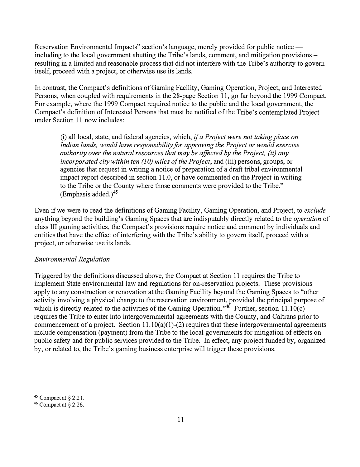Reservation Environmental Impacts" section's language, merely provided for public notice including to the local government abutting the Tribe's lands, comment, and mitigation provisions resulting in a limited and reasonable process that did not interfere with the Tribe's authority to govern itself, proceed with a project, or otherwise use its lands.

In contrast, the Compact's definitions of Gaming Facility, Gaming Operation, Project, and Interested Persons, when coupled with requirements in the 28-page Section 11, go far beyond the 1999 Compact.<br>For example, where the 1999 Compact required notice to the public and the local government, the Compact's definition of Interested Persons that must be notified of the Tribe's contemplated Project under Section 11 now includes:

(i) all local, state, and federal agencies, which, *if a Project were not taking place on Indian lands, would have responsibility for approving the Project or would exercise authority over the natural resources that may be affected by the Project, (ii) any incorporated city within ten (10) miles of the Project, and (iii) persons, groups, or* agencies that request in writing a notice of preparation of a draft tribal environmental impact report described in section 11.0, or have commented on the Project in writing to the Tribe or the County where those comments were provided to the Tribe." (Emphasis added.)<sup>45</sup>

Even if we were to read the definitions of Gaming Facility, Gaming Operation, and Project, to *exclude* anything beyond the building's Gaming Spaces that are indisputably directly related to the *operation* of class III gaming activities, the Compact's provisions require notice and comment by individuals and entities that have the effect of interfering with the Tribe's ability to govern itself, proceed with a project, or otherwise use its lands.

### *Environmental Regulation*

Triggered by the definitions discussed above, the Compact at Section 11 requires the Tribe to implement State environmental law and regulations for on-reservation projects. These provisions apply to any construction or renovation at the Gaming Facility beyond the Gaming Spaces to "other activity involving a physical change to the reservation environment, provided the principal purpose of which is directly related to the activities of the Gaming Operation."<sup>46</sup> Further, section 11.10(c) requires the Tribe to enter into intergovernmental agreements with the County, and Caltrans prior to commencement of a project. Section  $11.10(a)(1)-(2)$  requires that these intergovernmental agreements include compensation (payment) from the Tribe to the local governments for mitigation of effects on public safety and for public services provided to the Tribe. In effect, any project funded by, organized by, or related to, the Tribe's gaming business enterprise will trigger these provisions.

**<sup>45</sup>**Compact at § 2.21.

**<sup>46</sup>**Compact at§ 2.26.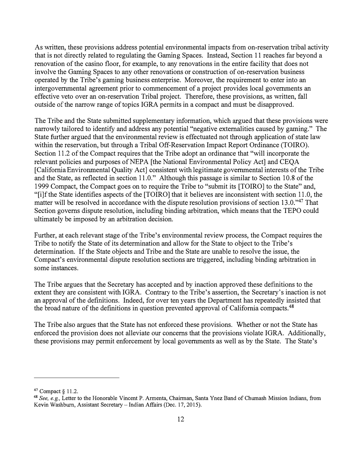As written, these provisions address potential environmental impacts from on-reservation tribal activity that is not directly related to regulating the Gaming Spaces. Instead, Section 11 reaches far beyond a renovation of the casino floor, for example, to any renovations in the entire facility that does not involve the Gaming Spaces to any other renovations or construction of on-reservation business operated by the T<sup>r</sup> ibe's gaming business enterprise. Moreover, the requirement to enter into an intergovernmental agreement prior to commencement of a project provides local governments an effective veto over an on-reservation Tribal project. Therefore, these provisions, as written, fall outside of the narrow range of topics IGRA permits in a compact and must be disapproved.

The Tribe and the State submitted supplementary information, which argued that these provisions were narrowly tailored to identify and address any potential "negative externalities caused by gaming." The State further argued that the environmental review is effectuated not through application of state law within the reservation, but through a Tribal Off-Reservation Impact Report Ordinance (TOIRO). Section 11.2 of the Compact requires that the Tribe adopt an ordinance that "will incorporate the relevant policies and purposes of NEPA [the National Environmental Policy Act] and CEQA [California Environmental Quality Act] consistent with legitimate governmental interests of the Tribe and the State, as reflected in section 11.0." Although this passage is similar to Section 10.8 of the 1999 Compact, the Compact goes on to require the Tribe to "submit its [TOIRO] to the State" and, "[i]fthe State identifies aspects of the [TOIRO] that it believes are inconsistent with section 11.0, the matter will be resolved in accordance with the dispute resolution provisions of section 13.0."<sup>47</sup> That Section governs dispute resolution, including binding arbitration, which means that the TEPO could ultimately be imposed by an arbitration decision.

Further, at each relevant stage of the Tribe's environmental review process, the Compact requires the Tribe to notify the State of its determination and allow for the State to object to the Tribe's determination. If the State objects and Tribe and the State are unable to resolve the issue, the Compact's environmental dispute resolution sections are triggered, including binding arbitration in some instances.

The Tribe argues that the Secretary has accepted and by inaction approved these definitions to the extent they are consistent with IGRA. Contrary to the Tribe's assertion, the Secretary's inaction is not an approval of the definitions. Indeed, for over ten years the Department has repeatedly insisted that the broad nature of the definitions in question prevented approval of California compacts.<sup>48</sup>

The Tribe also argues that the State has not enforced these provisions. Whether or not the State has enforced the provision does not alleviate our concerns that the provisions violate IGRA. Additionally, these provisions may permit enforcement by local governments as well as by the State. The State's

**<sup>47</sup>**Compact *§* 11.2.

<sup>48</sup>*See, e.g.,* Letter to the Honorable Vincent P. Armenta, Chairman, Santa Ynez Band of Chumash Mission Indians, from Kevin Washburn, Assistant Secretary-Indian Affairs (Dec. 17, 2015).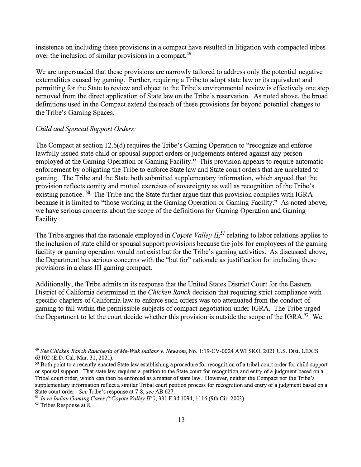insistence on including these provisions in a compact have resulted in litigation with compacted tribes over the inclusion of similar provisions in a [compact.](https://compact.49)<sup>49</sup>

We are unpersuaded that these provisions are narrowly tailored to address only the potential negative externalities caused by gaming. Further, requiring a Tribe to adopt state law or its equivalent and permitting for the State to review and object to the Tribe's environmental review is effectively one step removed from the direct application of State law on the Tribe's reservation. As noted above, the broad definitions used in the Compact extend the reach of these provisions far beyond potential changes to the Tribe's Gaming Spaces.

#### *Child and Spousal Support Orders:*

The Compact at section 12.6(d) requires the Tribe's Gaming Operation to "recognize and enforce lawfully issued state child or spousal support orders or judgements entered against any person employed at the Gaming Operation or Gaming Facility." This provision appears to require automatic enforcement by obligating the Tribe to enforce State law and State court orders that are unrelated to gaming. The Tribe and the State both submitted supplementary information, which argued that the provision reflects comity and mutual exercises of sovereignty as well as recognition of the Tribe's existing practice.  $50$  The Tribe and the State further argue that this provision complies with IGRA because it is limited to "those working at the Gaming Operation or Gaming Facility." As noted above, we have serious concerns about the scope of the definitions for Gaming Operation and Gaming Facility.

The Tribe argues that the rationale employed in *Coyote Valley*  $II<sub>i</sub><sup>51</sup>$  relating to labor relations applies to the inclusion of state child or spousal support provisions because the jobs for employees of the gaming facility or gaming operation would not exist but for the Tribe's gaming activities. As discussed above, the Department has serious concerns with the "but for" rationale as justification for including these provisions in a class Ill gaming compact.

Additionally, the Tribe admits in its response that the United States District Court for the Eastern District of California determined in the *Chicken Ranch* decision that requiring strict compliance with specific chapters of California law to enforce such orders was too attenuated from the conduct of gaming to fall within the permissible subjects of compact negotiation under IGRA. The Tribe urged the Department to let the court decide whether this provision is outside the scope of the IGRA.<sup>52</sup> We

**<sup>49</sup>***See Chicken Ranch Rancheria of Me-Wuk Indians* v. *Newsom,* No. 1: l 9-CV-0024 A WI SKO, 2021 U.S. Dist. LEXIS 63102 (E.D. Cal. Mar. 31, 2021).

**<sup>50</sup>**Both point to a recently enacted State law establishing a procedure for recognition of a tribal court order for child support or spousal support. That state law requires a petition to the State court for recognition and entry of a judgment based on a Tribal court order, which can then be enforced as a matter of state law. However, neither the Compact nor the Tribe's supplementary information reflect a similar Tribal court petition process for recognition and entry of a judgment based on a State court order. *See* Tribe's response at 7-8; *see* AB 627.

<sup>51</sup>*In re Indian Gaming Cases ("Coyote Valley II"),* 331 F.3d 1094, 1116 (9th Cir. 2003).

<sup>&</sup>lt;sup>52</sup> Tribes Response at 8.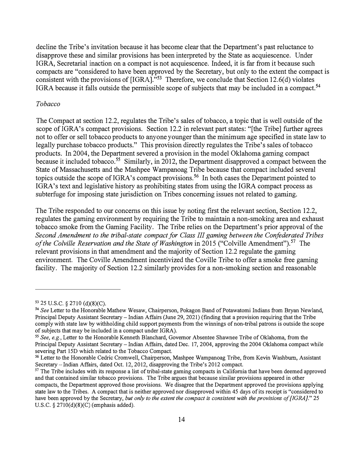decline the Tribe's invitation because it has become clear that the Department's past reluctance to disapprove these and similar provisions has been interpreted by the State as acquiescence. Under IGRA, Secretarial inaction on a compact is not acquiescence. Indeed, it is far from it because such compacts are "considered to have been approved by the Secretary, but only to the extent the compact is consistent with the provisions of  $[IGRA]$ ."<sup>53</sup> Therefore, we conclude that Section 12.6(d) violates IGRA because it falls outside the permissible scope of subjects that may be included in a [compact.](https://compact.54)<sup>54</sup>

#### *Tobacco*

The Compact at section 12.2, regulates the Tribe's sales of tobacco, a topic that is well outside of the scope of IGRA's compact provisions. Section 12.2 in relevant part states: "[the Tribe] further agrees not to offer or sell tobacco products to anyone younger than the minimum age specified in state law to legally purchase tobacco products." This provision directly regulates the Tribe's sales of tobacco products. In 2004, the Department severed a provision in the model Oklahoma gaming compact because it included [tobacco.](https://tobacco.55)<sup>55</sup> Similarly, in 2012, the Department disapproved a compact between the State of Massachusetts and the Mashpee Wampanoag Tribe because that compact included several topics outside the scope of IGRA's compact [provisions.](https://provisions.56)<sup>56</sup> In both cases the Department pointed to IGRA's text and legislative history as prohibiting states from using the IGRA compact process as subterfuge for imposing state jurisdiction on Tribes concerning issues not related to gaming.

The Tribe responded to our concerns on this issue by noting first the relevant section, Section 12.2, regulates the gaming environment by requiring the Tribe to maintain a non-smoking area and exhaust tobacco smoke from the Gaming Facility. The Tribe relies on the Department's prior approval of the *Second Amendment to the tribal-state compact for Class III gaming between the Confederated Tribes*  of the Colville Reservation and the State of Washington in 2015 ("Colville [Amendment"\).](https://Amendment").57)<sup>57</sup> The relevant provisions in that amendment and the majority of Section 12.2 regulate the gaming environment. The Coville Amendment incentivized the Coville Tribe to offer a smoke free gaming facility. The majority of Section 12.2 similarly provides for a non-smoking section and reasonable

*<sup>53</sup>*25 U.S.C. § 2710 (d)(8)(C).

**<sup>54</sup>***See* Letter to the Honorable Mathew Wesaw, Chairperson, Pokagon Band of Potawatomi Indians from Bryan Newland, Principal Deputy Assistant Secretary- Indian Affairs (June 29, 2021) (finding that a provision requiring that the Tribe comply with state law by withholding child support payments from the winnings of non-tribal patrons is outside the scope of subjects that may be included in a compact under IGRA).

*<sup>55</sup>See, e.g.,* Letter to the Honorable Kenneth Blanchard, Governor Absentee Shawnee Tribe of Oklahoma, from the Principal Deputy Assistant Secretary- Indian Affairs, dated Dec. 17, 2004, approving the 2004 Oklahoma compact while severing Part 15D which related to the Tobacco Compact.

*<sup>56</sup>*Letter to the Honorable Cedric Cromwell, Chairperson, Mashpee Wampanoag Tribe, from Kevin Washburn, Assistant Secretary-Indian Affairs, dated Oct. 12, 2012, disapproving the Tribe's 2012 compact.

*<sup>57</sup>*The Tribe includes with its response a list of tribal-state gaming compacts in California that have been deemed approved and that contained similar tobacco provisions. The Tribe argues that because similar provisions appeared in other compacts, the Department approved those provisions. We disagree that the Department approved the provisions applying state law to the Tribes. A compact that is neither approved nor disapproved within 45 days of its receipt is "considered to have been approved by the Secretary, *but only to the extent the compact is consistent with the provisions of [IGRA]."* 25 U.S.C. § 2710(d)(8)(C) (emphasis added).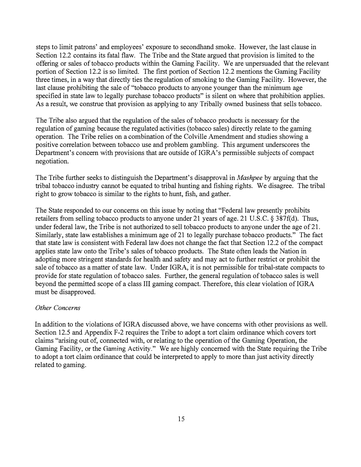steps to limit patrons' and employees' exposure to secondhand smoke. However, the last clause in Section 12.2 contains its fatal flaw. The Tribe and the State argued that provision is limited to the offering or sales of tobacco products within the Gaming Facility. We are unpersuaded that the relevant portion of Section 12.2 is so limited. The first portion of Section 12.2 mentions the Gaming Facility three times, in a way that directly ties the regulation of smoking to the Gaming Facility. However, the last clause prohibiting the sale of "tobacco products to anyone younger than the minimum age specified in state law to legally purchase tobacco products" is silent on where that prohibition applies. As a result, we construe that provision as applying to any Tribally owned business that sells tobacco.

The Tribe also argued that the regulation of the sales of tobacco products is necessary for the regulation of gaming because the regulated activities (tobacco sales) directly relate to the gaming operation. The Tribe relies on a combination of the Colville Amendment and studies showing a positive correlation between tobacco use and problem gambling. This argument underscores the Department's concern with provisions that are outside of IGRA's permissible subjects of compact negotiation.

The Tribe further seeks to distinguish the Department's disapproval in *Mashpee* by arguing that the tribal tobacco industry cannot be equated to tribal hunting and fishing rights. We disagree. The tribal right to grow tobacco is similar to the rights to hunt, fish, and gather.

The State responded to our concerns on this issue by noting that "Federal law presently prohibits retailers from selling tobacco products to anyone under 21 years of age. 21 U.S.C. § 387f(d). Thus, under federal law, the Tribe is not authorized to sell tobacco products to anyone under the age of 21. Similarly, state law establishes a minimum age of 21 to legally purchase tobacco products." The fact that state law is consistent with Federal law does not change the fact that Section 12.2 of the compact applies state law onto the Tribe's sales of tobacco products. The State often leads the Nation in adopting more stringent standards for health and safety and may act to further restrict or prohibit the sale of tobacco as a matter of state law. Under IGRA, it is not permissible for tribal-state compacts to provide for state regulation of tobacco sales. Further, the general regulation of tobacco sales is well beyond the permitted scope of a class III gaming compact. Therefore, this clear violation of IGRA must be disapproved.

#### *Other Concerns*

In addition to the violations of IGRA discussed above, we have concerns with other provisions as well. Section 12.5 and Appendix F-2 requires the Tribe to adopt a tort claim ordinance which covers tort claims "arising out of, connected with, or relating to the operation of the Gaming Operation, the Gaming Facility, or the Gaming Activity." We are highly concerned with the State requiring the Tribe to adopt a tort claim ordinance that could be interpreted to apply to more than just activity directly related to gaming.